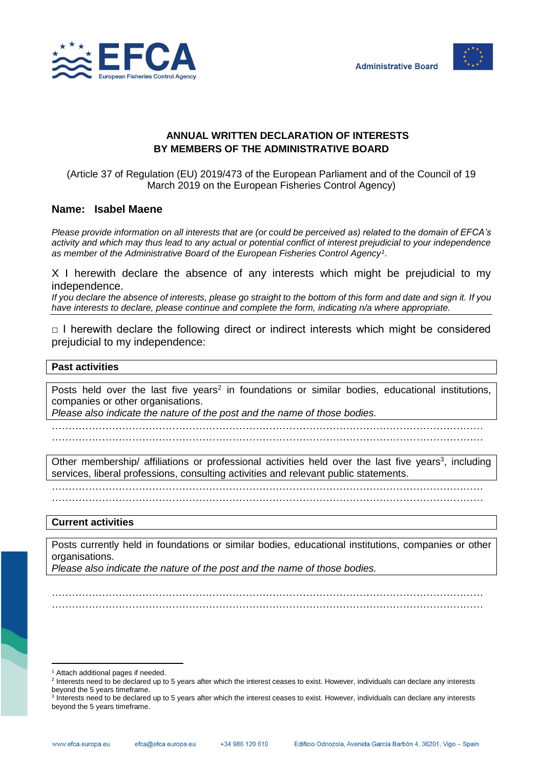



## **ANNUAL WRITTEN DECLARATION OF INTERESTS BY MEMBERS OF THE ADMINISTRATIVE BOARD**

(Article 37 of Regulation (EU) 2019/473 of the European Parliament and of the Council of 19 March 2019 on the European Fisheries Control Agency)

# **Name: Isabel Maene**

*Please provide information on all interests that are (or could be perceived as) related to the domain of EFCA's activity and which may thus lead to any actual or potential conflict of interest prejudicial to your independence as member of the Administrative Board of the European Fisheries Control Agency<sup>1</sup> .*

X I herewith declare the absence of any interests which might be prejudicial to my independence.

*If you declare the absence of interests, please go straight to the bottom of this form and date and sign it. If you have interests to declare, please continue and complete the form, indicating n/a where appropriate.*

 $\Box$  I herewith declare the following direct or indirect interests which might be considered prejudicial to my independence:

## **Past activities**

Posts held over the last five years<sup>2</sup> in foundations or similar bodies, educational institutions, companies or other organisations.

*Please also indicate the nature of the post and the name of those bodies.*

………………………………………………………………………………………………………………… …………………………………………………………………………………………………………………

Other membership/ affiliations or professional activities held over the last five years<sup>3</sup>, including services, liberal professions, consulting activities and relevant public statements.

…………………………………………………………………………………………………………………

…………………………………………………………………………………………………………………

### **Current activities**

Posts currently held in foundations or similar bodies, educational institutions, companies or other organisations.

………………………………………………………………………………………………………………… …………………………………………………………………………………………………………………

*Please also indicate the nature of the post and the name of those bodies.*

l <sup>1</sup> Attach additional pages if needed.

<sup>&</sup>lt;sup>2</sup> Interests need to be declared up to 5 years after which the interest ceases to exist. However, individuals can declare any interests beyond the 5 years timeframe.

<sup>&</sup>lt;sup>3</sup> Interests need to be declared up to 5 years after which the interest ceases to exist. However, individuals can declare any interests beyond the 5 years timeframe.